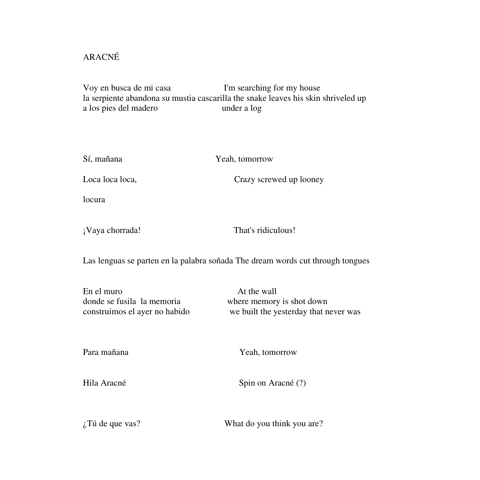## ARACNÉ

Voy en busca de mi casa I'm searching for my house la serpiente abandona su mustia cascarilla the snake leaves his skin shriveled up a los pies del madero under a log

| Sí, mañana      | Yeah, tomorrow          |
|-----------------|-------------------------|
| Loca loca loca, | Crazy screwed up looney |
| locura          |                         |
| ¡Vaya chorrada! | That's ridiculous!      |

Las lenguas se parten en la palabra soñada The dream words cut through tongues

| En el muro                    | At the wall                           |
|-------------------------------|---------------------------------------|
| donde se fusila la memoria    | where memory is shot down             |
| construimos el ayer no habido | we built the yesterday that never was |

Para mañana Yeah, tomorrow

Hila Aracné Spin on Aracné (?)

¿Tú de que vas? What do you think you are?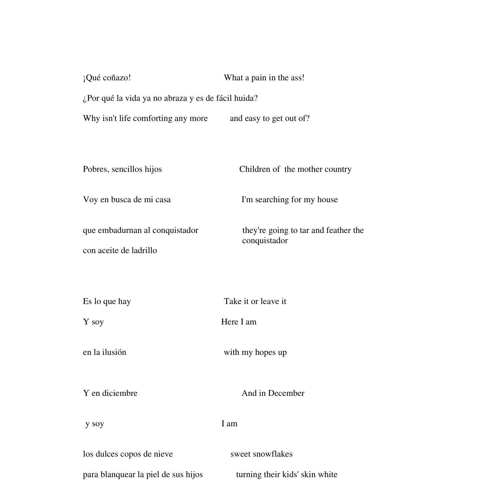| ¡Qué coñazo!                                       | What a pain in the ass!                              |  |
|----------------------------------------------------|------------------------------------------------------|--|
| ¿Por qué la vida ya no abraza y es de fácil huida? |                                                      |  |
| Why isn't life comforting any more                 | and easy to get out of?                              |  |
|                                                    |                                                      |  |
| Pobres, sencillos hijos                            | Children of the mother country                       |  |
| Voy en busca de mi casa                            | I'm searching for my house                           |  |
| que embadurnan al conquistador                     | they're going to tar and feather the<br>conquistador |  |
| con aceite de ladrillo                             |                                                      |  |
|                                                    |                                                      |  |
| Es lo que hay                                      | Take it or leave it                                  |  |
| Y soy                                              | Here I am                                            |  |
| en la ilusión                                      | with my hopes up                                     |  |
| Y en diciembre                                     | And in December                                      |  |
| y soy                                              | I am                                                 |  |
| los dulces copos de nieve                          | sweet snowflakes                                     |  |
| para blanquear la piel de sus hijos                | turning their kids' skin white                       |  |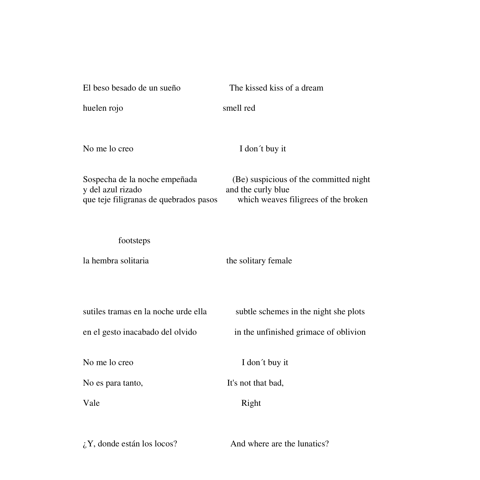| El beso besado de un sueño                                                                   | The kissed kiss of a dream                                                                           |
|----------------------------------------------------------------------------------------------|------------------------------------------------------------------------------------------------------|
| huelen rojo                                                                                  | smell red                                                                                            |
| No me lo creo                                                                                | I don't buy it                                                                                       |
| Sospecha de la noche empeñada<br>y del azul rizado<br>que teje filigranas de quebrados pasos | (Be) suspicious of the committed night<br>and the curly blue<br>which weaves filigrees of the broken |
| footsteps                                                                                    |                                                                                                      |
| la hembra solitaria                                                                          | the solitary female                                                                                  |
| sutiles tramas en la noche urde ella                                                         | subtle schemes in the night she plots                                                                |
| en el gesto inacabado del olvido                                                             | in the unfinished grimace of oblivion                                                                |
| No me lo creo                                                                                | I don't buy it                                                                                       |
| No es para tanto,                                                                            | It's not that bad,                                                                                   |
| Vale                                                                                         | Right                                                                                                |
|                                                                                              |                                                                                                      |

 $iY$ , donde están los locos? And where are the lunatics?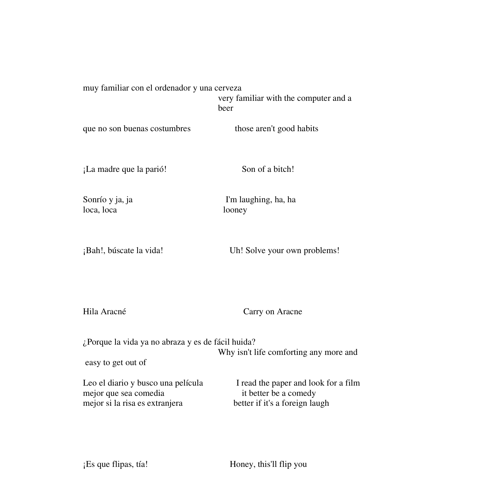muy familiar con el ordenador y una cerveza very familiar with the computer and a beer

que no son buenas costumbres those aren't good habits

¡La madre que la parió! Son of a bitch!

loca, loca looney

Sonrío y ja, ja I'm laughing, ha, ha

¡Bah!, búscate la vida! Uh! Solve your own problems!

Hila Aracné Carry on Aracne

¿Porque la vida ya no abraza y es de fácil huida? Why isn't life comforting any more and easy to get out of

Leo el diario y busco una película I read the paper and look for a film mejor que sea comedia it better be a comedy mejor si la risa es extranjera better if it's a foreign laugh